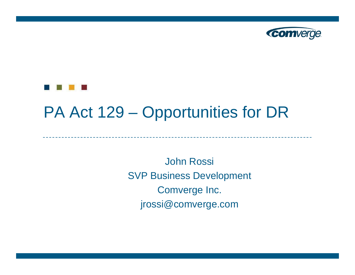



#### PA Act 129 – Opportunities for DR

John Rossi SVP Business Development Comverge Inc. jrossi@comverge.com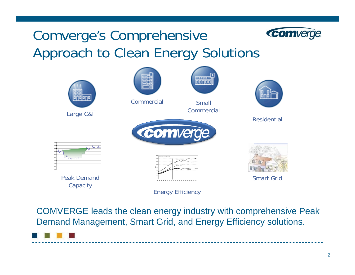### Comverge's Comprehensive Approach to Clean Energy Solutions



COMVERGE leads the clean energy industry with comprehensive Peak Demand Management, Smart Grid, and Energy Efficiency solutions.



comverge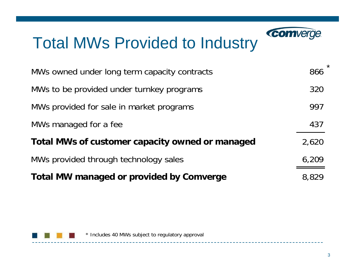# Total MWs Provided to Industry

| MWs owned under long term capacity contracts    | 866   |
|-------------------------------------------------|-------|
| MWs to be provided under turnkey programs       | 320   |
| MWs provided for sale in market programs        | 997   |
| MWs managed for a fee                           | 437   |
| Total MWs of customer capacity owned or managed | 2,620 |
| MWs provided through technology sales           | 6,209 |
| <b>Total MW managed or provided by Comverge</b> | 8.829 |

---------



\*

**Comverge**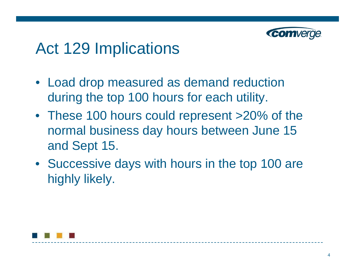

### Act 129 Implications

- Load drop measured as demand reduction during the top 100 hours for each utility.
- These 100 hours could represent >20% of the normal business day hours between June 15 and Sept 15.
- Successive days with hours in the top 100 are highly likely.

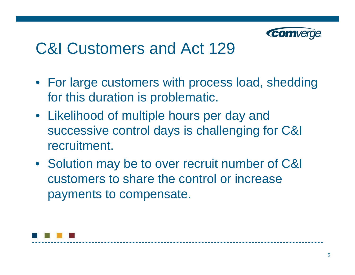

### C&I Customers and Act 129

- For large customers with process load, shedding for this duration is problematic.
- Likelihood of multiple hours per day and successive control days is challenging for C&I recruitment.
- Solution may be to over recruit number of C&I customers to share the control or increase payments to compensate.

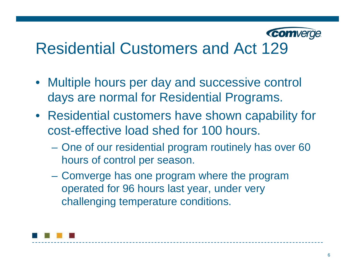

# Residential Customers and Act 129

- Multiple hours per day and successive control days are normal for Residential Programs.
- Residential customers have shown capability for cost-effective load shed for 100 hours.
	- One of our residential program routinely has over 60 hours of control per season.
	- $\mathcal{L}_{\mathcal{A}}$  Comverge has one program where the program operated for 96 hours last year, under very challenging temperature conditions.

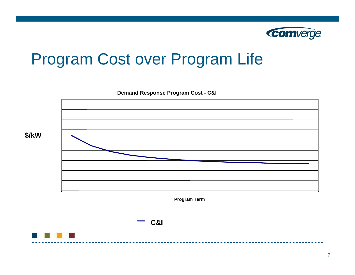

# Program Cost over Program Life

**Demand Response Program Cost - C&I Program Term \$/kW**

**C&I**



7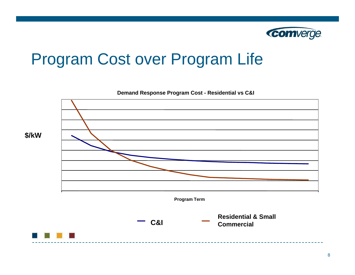

# Program Cost over Program Life

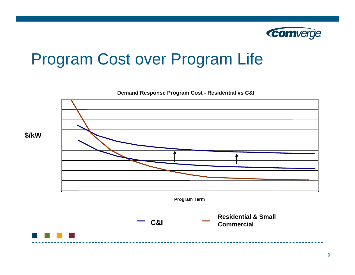

# Program Cost over Program Life